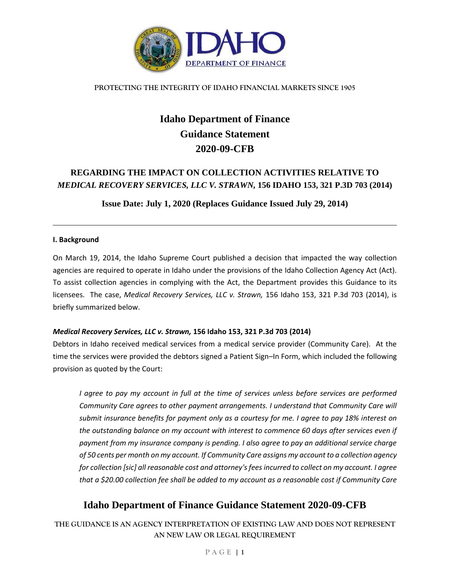

# **Idaho Department of Finance Guidance Statement 2020-09-CFB**

## **REGARDING THE IMPACT ON COLLECTION ACTIVITIES RELATIVE TO**  *MEDICAL RECOVERY SERVICES, LLC V. STRAWN,* **156 IDAHO 153, 321 P.3D 703 (2014)**

**Issue Date: July 1, 2020 (Replaces Guidance Issued July 29, 2014)**

## **I. Background**

On March 19, 2014, the Idaho Supreme Court published a decision that impacted the way collection agencies are required to operate in Idaho under the provisions of the Idaho Collection Agency Act (Act). To assist collection agencies in complying with the Act, the Department provides this Guidance to its licensees. The case, *Medical Recovery Services, LLC v. Strawn,* 156 Idaho 153, 321 P.3d 703 (2014), is briefly summarized below.

## *Medical Recovery Services, LLC v. Strawn,* **156 Idaho 153, 321 P.3d 703 (2014)**

Debtors in Idaho received medical services from a medical service provider (Community Care). At the time the services were provided the debtors signed a Patient Sign–In Form, which included the following provision as quoted by the Court:

*I agree to pay my account in full at the time of services unless before services are performed Community Care agrees to other payment arrangements. I understand that Community Care will submit insurance benefits for payment only as a courtesy for me. I agree to pay 18% interest on the outstanding balance on my account with interest to commence 60 days after services even if payment from my insurance company is pending. I also agree to pay an additional service charge of 50 cents per month on my account. If Community Care assigns my account to a collection agency for collection [sic] all reasonable cost and attorney's fees incurred to collect on my account. I agree that a \$20.00 collection fee shall be added to my account as a reasonable cost if Community Care* 

## **Idaho Department of Finance Guidance Statement 2020-09-CFB**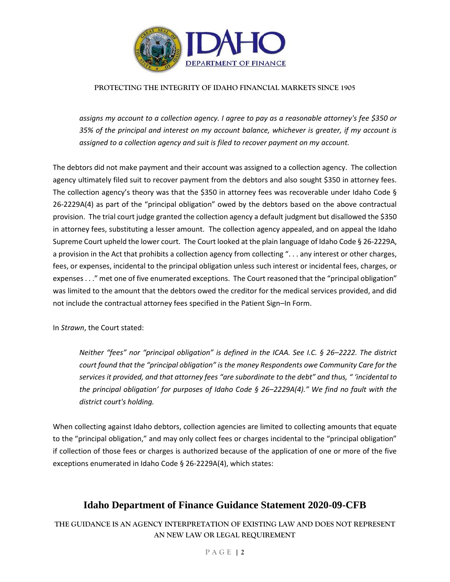

*assigns my account to a collection agency. I agree to pay as a reasonable attorney's fee \$350 or 35% of the principal and interest on my account balance, whichever is greater, if my account is assigned to a collection agency and suit is filed to recover payment on my account.* 

The debtors did not make payment and their account was assigned to a collection agency. The collection agency ultimately filed suit to recover payment from the debtors and also sought \$350 in attorney fees. The collection agency's theory was that the \$350 in attorney fees was recoverable under Idaho Code § 26-2229A(4) as part of the "principal obligation" owed by the debtors based on the above contractual provision. The trial court judge granted the collection agency a default judgment but disallowed the \$350 in attorney fees, substituting a lesser amount. The collection agency appealed, and on appeal the Idaho Supreme Court upheld the lower court. The Court looked at the plain language of Idaho Code § 26-2229A, a provision in the Act that prohibits a collection agency from collecting ". . . any interest or other charges, fees, or expenses, incidental to the principal obligation unless such interest or incidental fees, charges, or expenses . . ." met one of five enumerated exceptions. The Court reasoned that the "principal obligation" was limited to the amount that the debtors owed the creditor for the medical services provided, and did not include the contractual attorney fees specified in the Patient Sign–In Form.

In *Strawn*, the Court stated:

*Neither "fees" nor "principal obligation" is defined in the ICAA. See I.C. § 26–2222. The district court found that the "principal obligation" is the money Respondents owe Community Care for the services it provided, and that attorney fees "are subordinate to the debt" and thus, " 'incidental to the principal obligation' for purposes of Idaho Code § 26–2229A(4)." We find no fault with the district court's holding.* 

When collecting against Idaho debtors, collection agencies are limited to collecting amounts that equate to the "principal obligation," and may only collect fees or charges incidental to the "principal obligation" if collection of those fees or charges is authorized because of the application of one or more of the five exceptions enumerated in Idaho Code § 26-2229A(4), which states:

## **Idaho Department of Finance Guidance Statement 2020-09-CFB**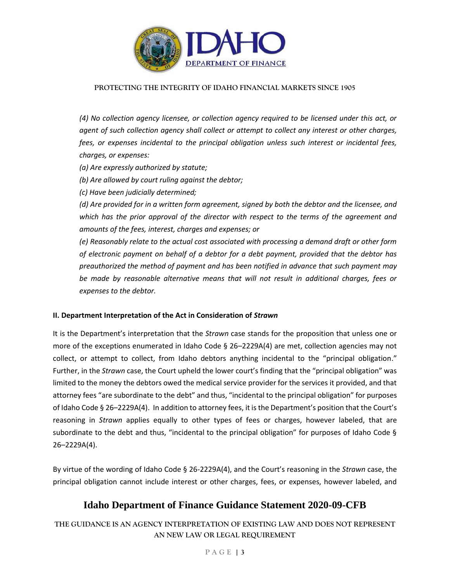

*(4) No collection agency licensee, or collection agency required to be licensed under this act, or agent of such collection agency shall collect or attempt to collect any interest or other charges, fees, or expenses incidental to the principal obligation unless such interest or incidental fees, charges, or expenses:* 

*(a) Are expressly authorized by statute;* 

*(b) Are allowed by court ruling against the debtor;* 

*(c) Have been judicially determined;*

*(d) Are provided for in a written form agreement, signed by both the debtor and the licensee, and which has the prior approval of the director with respect to the terms of the agreement and amounts of the fees, interest, charges and expenses; or* 

*(e) Reasonably relate to the actual cost associated with processing a demand draft or other form of electronic payment on behalf of a debtor for a debt payment, provided that the debtor has preauthorized the method of payment and has been notified in advance that such payment may be made by reasonable alternative means that will not result in additional charges, fees or expenses to the debtor.*

### **II. Department Interpretation of the Act in Consideration of** *Strawn*

It is the Department's interpretation that the *Strawn* case stands for the proposition that unless one or more of the exceptions enumerated in Idaho Code § 26–2229A(4) are met, collection agencies may not collect, or attempt to collect, from Idaho debtors anything incidental to the "principal obligation." Further, in the *Strawn* case, the Court upheld the lower court's finding that the "principal obligation" was limited to the money the debtors owed the medical service provider for the services it provided, and that attorney fees "are subordinate to the debt" and thus, "incidental to the principal obligation" for purposes of Idaho Code § 26–2229A(4). In addition to attorney fees, it is the Department's position that the Court's reasoning in *Strawn* applies equally to other types of fees or charges, however labeled, that are subordinate to the debt and thus, "incidental to the principal obligation" for purposes of Idaho Code § 26–2229A(4).

By virtue of the wording of Idaho Code § 26-2229A(4), and the Court's reasoning in the *Strawn* case, the principal obligation cannot include interest or other charges, fees, or expenses, however labeled, and

## **Idaho Department of Finance Guidance Statement 2020-09-CFB**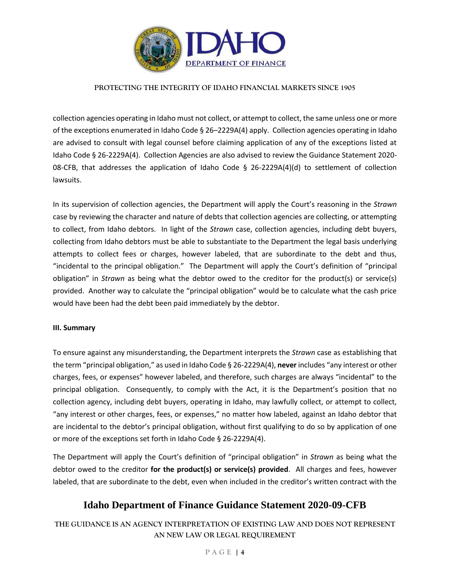

collection agencies operating in Idaho must not collect, or attempt to collect, the same unless one or more of the exceptions enumerated in Idaho Code § 26–2229A(4) apply. Collection agencies operating in Idaho are advised to consult with legal counsel before claiming application of any of the exceptions listed at Idaho Code § 26-2229A(4). Collection Agencies are also advised to review the Guidance Statement 2020- 08-CFB, that addresses the application of Idaho Code § 26-2229A(4)(d) to settlement of collection lawsuits.

In its supervision of collection agencies, the Department will apply the Court's reasoning in the *Strawn*  case by reviewing the character and nature of debts that collection agencies are collecting, or attempting to collect, from Idaho debtors. In light of the *Strawn* case, collection agencies, including debt buyers, collecting from Idaho debtors must be able to substantiate to the Department the legal basis underlying attempts to collect fees or charges, however labeled, that are subordinate to the debt and thus, "incidental to the principal obligation." The Department will apply the Court's definition of "principal obligation" in *Strawn* as being what the debtor owed to the creditor for the product(s) or service(s) provided. Another way to calculate the "principal obligation" would be to calculate what the cash price would have been had the debt been paid immediately by the debtor.

#### **III. Summary**

To ensure against any misunderstanding, the Department interprets the *Strawn* case as establishing that the term "principal obligation," as used in Idaho Code § 26-2229A(4), **never** includes "any interest or other charges, fees, or expenses" however labeled, and therefore, such charges are always "incidental" to the principal obligation. Consequently, to comply with the Act, it is the Department's position that no collection agency, including debt buyers, operating in Idaho, may lawfully collect, or attempt to collect, "any interest or other charges, fees, or expenses," no matter how labeled, against an Idaho debtor that are incidental to the debtor's principal obligation, without first qualifying to do so by application of one or more of the exceptions set forth in Idaho Code § 26-2229A(4).

The Department will apply the Court's definition of "principal obligation" in *Strawn* as being what the debtor owed to the creditor **for the product(s) or service(s) provided**. All charges and fees, however labeled, that are subordinate to the debt, even when included in the creditor's written contract with the

## **Idaho Department of Finance Guidance Statement 2020-09-CFB**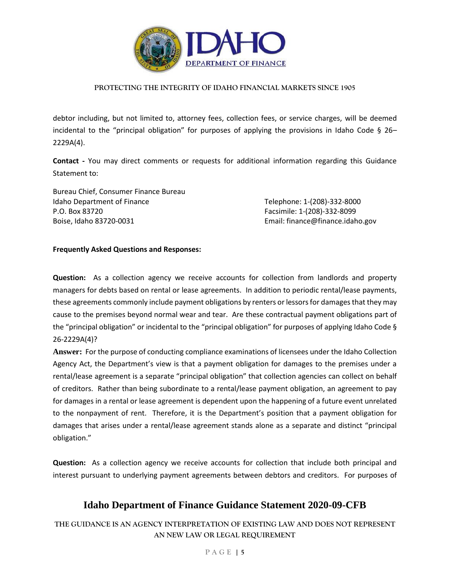

debtor including, but not limited to, attorney fees, collection fees, or service charges, will be deemed incidental to the "principal obligation" for purposes of applying the provisions in Idaho Code § 26– 2229A(4).

**Contact -** You may direct comments or requests for additional information regarding this Guidance Statement to:

Bureau Chief, Consumer Finance Bureau Idaho Department of Finance Telephone: 1-(208)-332-8000 P.O. Box 83720 Facsimile: 1-(208)-332-8099 Boise, Idaho 83720-0031 **Email: finance@finance.idaho.gov** Email: finance@finance.idaho.gov

### **Frequently Asked Questions and Responses:**

**Question:** As a collection agency we receive accounts for collection from landlords and property managers for debts based on rental or lease agreements. In addition to periodic rental/lease payments, these agreements commonly include payment obligations by renters or lessors for damages that they may cause to the premises beyond normal wear and tear. Are these contractual payment obligations part of the "principal obligation" or incidental to the "principal obligation" for purposes of applying Idaho Code § 26-2229A(4)?

**Answer:** For the purpose of conducting compliance examinations of licensees under the Idaho Collection Agency Act, the Department's view is that a payment obligation for damages to the premises under a rental/lease agreement is a separate "principal obligation" that collection agencies can collect on behalf of creditors. Rather than being subordinate to a rental/lease payment obligation, an agreement to pay for damages in a rental or lease agreement is dependent upon the happening of a future event unrelated to the nonpayment of rent. Therefore, it is the Department's position that a payment obligation for damages that arises under a rental/lease agreement stands alone as a separate and distinct "principal obligation."

**Question:** As a collection agency we receive accounts for collection that include both principal and interest pursuant to underlying payment agreements between debtors and creditors. For purposes of

## **Idaho Department of Finance Guidance Statement 2020-09-CFB**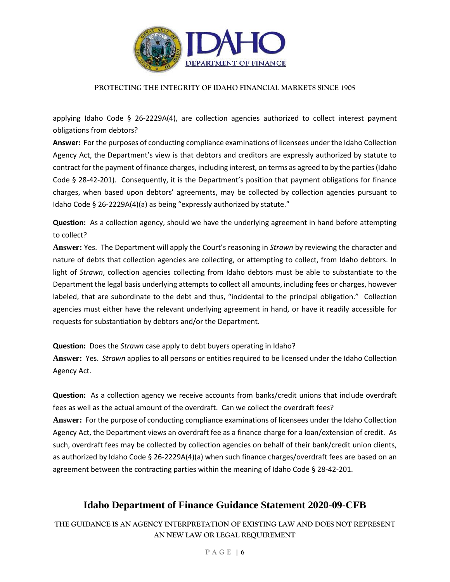

applying Idaho Code § 26-2229A(4), are collection agencies authorized to collect interest payment obligations from debtors?

**Answer:** For the purposes of conducting compliance examinations of licensees under the Idaho Collection Agency Act, the Department's view is that debtors and creditors are expressly authorized by statute to contract for the payment of finance charges, including interest, on terms as agreed to by the parties (Idaho Code § 28-42-201). Consequently, it is the Department's position that payment obligations for finance charges, when based upon debtors' agreements, may be collected by collection agencies pursuant to Idaho Code § 26-2229A(4)(a) as being "expressly authorized by statute."

**Question:** As a collection agency, should we have the underlying agreement in hand before attempting to collect?

**Answer:** Yes. The Department will apply the Court's reasoning in *Strawn* by reviewing the character and nature of debts that collection agencies are collecting, or attempting to collect, from Idaho debtors. In light of *Strawn*, collection agencies collecting from Idaho debtors must be able to substantiate to the Department the legal basis underlying attempts to collect all amounts, including fees or charges, however labeled, that are subordinate to the debt and thus, "incidental to the principal obligation." Collection agencies must either have the relevant underlying agreement in hand, or have it readily accessible for requests for substantiation by debtors and/or the Department.

**Question:** Does the *Strawn* case apply to debt buyers operating in Idaho?

**Answer:** Yes. *Strawn* applies to all persons or entities required to be licensed under the Idaho Collection Agency Act.

**Question:** As a collection agency we receive accounts from banks/credit unions that include overdraft fees as well as the actual amount of the overdraft. Can we collect the overdraft fees? **Answer:** For the purpose of conducting compliance examinations of licensees under the Idaho Collection Agency Act, the Department views an overdraft fee as a finance charge for a loan/extension of credit. As such, overdraft fees may be collected by collection agencies on behalf of their bank/credit union clients, as authorized by Idaho Code § 26-2229A(4)(a) when such finance charges/overdraft fees are based on an agreement between the contracting parties within the meaning of Idaho Code § 28-42-201.

## **Idaho Department of Finance Guidance Statement 2020-09-CFB**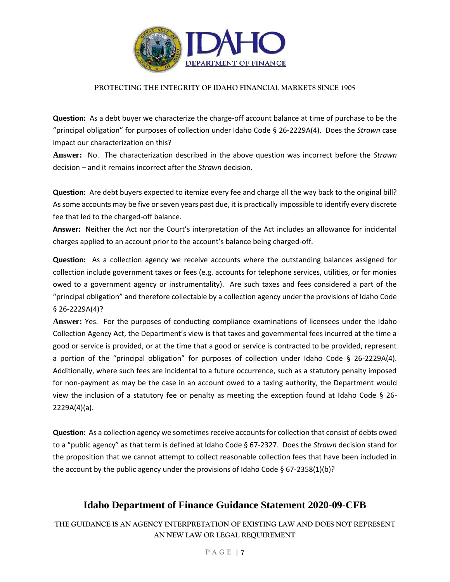

**Question:** As a debt buyer we characterize the charge-off account balance at time of purchase to be the "principal obligation" for purposes of collection under Idaho Code § 26-2229A(4). Does the *Strawn* case impact our characterization on this?

**Answer:** No. The characterization described in the above question was incorrect before the *Strawn*  decision – and it remains incorrect after the *Strawn* decision.

**Question:** Are debt buyers expected to itemize every fee and charge all the way back to the original bill? As some accounts may be five or seven years past due, it is practically impossible to identify every discrete fee that led to the charged-off balance.

**Answer:** Neither the Act nor the Court's interpretation of the Act includes an allowance for incidental charges applied to an account prior to the account's balance being charged-off.

**Question:** As a collection agency we receive accounts where the outstanding balances assigned for collection include government taxes or fees (e.g. accounts for telephone services, utilities, or for monies owed to a government agency or instrumentality). Are such taxes and fees considered a part of the "principal obligation" and therefore collectable by a collection agency under the provisions of Idaho Code § 26-2229A(4)?

**Answer:** Yes. For the purposes of conducting compliance examinations of licensees under the Idaho Collection Agency Act, the Department's view is that taxes and governmental fees incurred at the time a good or service is provided, or at the time that a good or service is contracted to be provided, represent a portion of the "principal obligation" for purposes of collection under Idaho Code § 26-2229A(4). Additionally, where such fees are incidental to a future occurrence, such as a statutory penalty imposed for non-payment as may be the case in an account owed to a taxing authority, the Department would view the inclusion of a statutory fee or penalty as meeting the exception found at Idaho Code § 26- 2229A(4)(a).

**Question:** As a collection agency we sometimes receive accounts for collection that consist of debts owed to a "public agency" as that term is defined at Idaho Code § 67-2327. Does the *Strawn* decision stand for the proposition that we cannot attempt to collect reasonable collection fees that have been included in the account by the public agency under the provisions of Idaho Code § 67-2358(1)(b)?

## **Idaho Department of Finance Guidance Statement 2020-09-CFB**